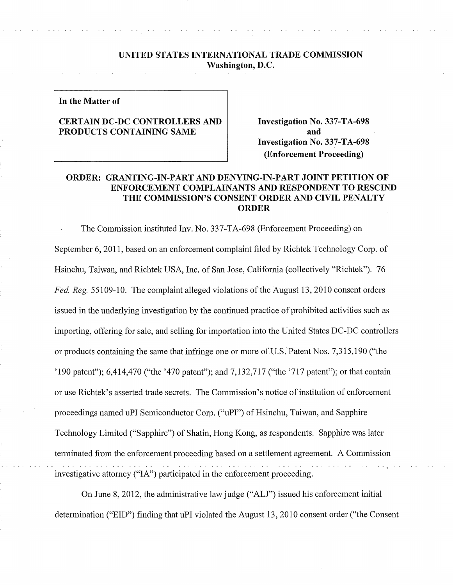### **UNITED STATES INTERNATIONAL TRADE COMMISSION Washington, D.C.**

**In the Matter of** 

# **CERTAIN DC-DC CONTROLLERS AND PRODUCTS CONTAINING SAME**

**Investigation No. 337-TA-698 and Investigation No. 337-TA-698 (Enforcement Proceeding)** 

# **ORDER: GRANTING-IN-PART AND DENYING-IN-PART JOINT PETITION OF ENFORCEMENT COMPLAINANTS AND RESPONDENT TO RESCIND THE COMMISSION'S CONSENT ORDER AND CIVIL PENALTY ORDER**

The Commission instituted Inv. No. 337-TA-698 (Enforcement Proceeding) on September 6, 2011, based on an enforcement complaint filed by Richtek Technology Corp. of Hsinchu, Taiwan, and Richtek USA, Inc. of San Jose, California (collectively "Richtek"). 76 *Fed. Reg.* 55109-10. The complaint alleged violations of the August 13, 2010 consent orders issued in the underlying investigation by the continued practice of prohibited activities such as importing, offering for sale, and selling for importation into the United States DC-DC controllers or products containing the same that infringe one or more of U.S. 'Patent Nos. 7,315,190 ("the '190 patent"); 6,414,470 ("the '470 patent"); and 7,132,717 ("the '717 patent"); or that contain or use Richtek's asserted trade secrets. The Commission's notice of institution of enforcement proceedings named uPI Semiconductor Corp. ("uPI") of Hsinchu, Taiwan, and Sapphire Technology Limited ("Sapphire") of Shatin, Hong Kong, as respondents. Sapphire was later terminated from the enforcement proceeding based on a settlement agreement. A Commission investigative attorney ("IA") participated in the enforcement proceeding.

On June 8, 2012, the administrative law judge ("ALJ") issued his enforcement initial determination ("EID") finding that uPI violated the August 13, 2010 consent order ("the Consent"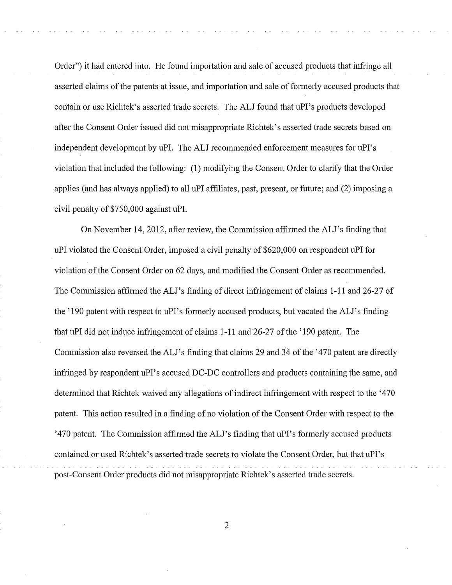Order") it had entered into. He found importation and sale of accused products that infringe all asserted claims of the patents at issue, and importation and sale of formerly accused products that contain or use Richtek's asserted trade secrets. The ALJ found that uPI's products developed after the Consent Order issued did not misappropriate Richtek's asserted trade secrets based on independent development by uPI. The ALJ recommended enforcement measures for uPI's violation that included the following: (1) modifying the Consent Order to clarify that the Order applies ( and has always applied) to all uPI affiliates, past, present, or future; and (2) imposing a civil penalty of \$750,000 against uPI.

On November 14, 2012, after review, the Commission affirmed the ALJ's finding that uPI violated the Consent Order, imposed a civil penalty of \$620,000 on respondent uPI for violation of the Consent Order on 62 days, and modified the Consent Order as recommended. The Commission affirmed the ALJ's finding of direct infringement of claims 1-11 and 26-27 of the '190 patent with respect to uPI's formerly accused products, but vacated the ALJ's finding that uPI did not induce infringement of claims 1-11 and 26-27 of the '190 patent. The Commission also reversed the ALJ's finding that claims 29 and 34 of the '470 patent are directly infringed by respondent uPI's accused DC-DC controllers and products containing the same, and determined that Richtek waived any allegations of indirect infringement with respect to the '470 patent. This action resulted in a finding of no violation of the Consent Order with respect to the '470 patent. The Commission affirmed the ALJ's finding that uPI's formerly accused products contained or used Richtek's asserted trade secrets to violate the Consent Order, but that uPI's post-Consent Order products did not misappropriate Richtek's asserted trade secrets.

2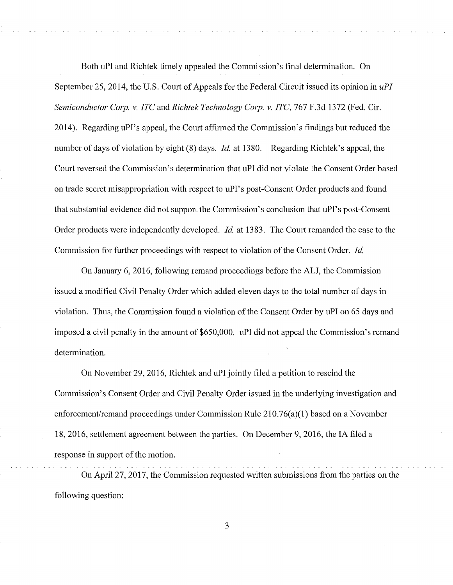Both uPI and Richtek timely appealed the Commission's final determination. On September 25, 2014, the U.S. Court of Appeals for the Federal Circuit issued its opinion in *uPI Semiconductor Corp. v. ITC and Richtek Technology Corp. v. ITC, 767 F.3d 1372 (Fed. Cir.* 2014). Regarding uPI's appeal, the Court affirmed the Commission's findings but reduced the number of days of violation by eight (8) days. *Id.* at 1380. Regarding Richtek's appeal, the Court reversed the Commission's determination that uPI did not violate the Consent Order based on trade secret misappropriation with respect to uPI's post-Consent Order products and found that substantial evidence did not support the Commission's conclusion that uPI's post-Consent Order products were independently developed. *Id.* at 1383. The Court remanded the case to the Commission for further proceedings with respect to violation of the Consent Order. *Id.* 

On January 6, 2016, following remand proceedings before the ALJ, the Commission issued a modified Civil Penalty Order which added eleven days to the total number of days in violation. Thus, the Commission found a violation of the Consent Order by uPI on 65 days and imposed a civil penalty in the amount of \$650,000. uPI did not appeal the Commission's remand determination.

On November 29, 2016, Richtek and uPI jointly filed a petition to rescind the Commission's Consent Order and Civil Penalty Order issued in the underlying investigation and enforcement/remand proceedings under Commission Rule 210.76(a)(l) based on a November 18, 2016, settlement agreement between the parties. On December 9, 2016, the IA filed a response in support of the motion.

On April 27, 2017, the Commission requested written submissions from the parties on the following question:

3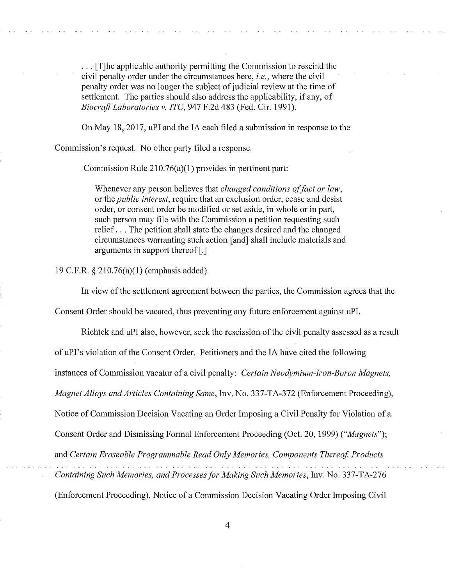... [T]he applicable authority permitting the Commission to rescind the civil penalty order under the circumstances here, *i.e.,* where the civil penalty order was no longer the subject of judicial review at the time of settlement. The parties should also address the applicability, if any, of *Biocraft Laboratories v. ITC,* 947 F.2d 483 (Fed. Cir. 1991).

On May 18, 2017, uPI and the IA each filed a submission in response to the

Commission's request. No other party filed a response.

Commission Rule  $210.76(a)(1)$  provides in pertinent part:

Whenever any person believes that *changed conditions of fact or law,*  or the *public interest,* require that an exclusion order, cease and desist order, or consent order be modified or set aside, in whole or in pati, such person may file with the Commission a petition requesting such relief ... The' petition shall state the changes desired and the changed circumstances warranting such action [ and] shall include materials and arguments in support thereof  $[.]$ 

19 C.F.R. § 210.76(a)(l) (emphasis added).

In view of the settlement agreement between the parties, the Commission agrees that the

Consent Order should be vacated, thus preventing any future enforcement against uPI.

Richtek and uPI also, however, seek the rescission of the civil penalty assessed as a result of uPI's violation of the Consent Order. Petitioners and the IA have cited the following instances of Commission vacatur of a civil penalty: *Certain Neodymium-Iron-Boron Magnets, Magnet Alloys and Articles Containing Same,* Inv. No. 337-TA-372 (Enforcement Proceeding), Notice of Commission Decision Vacating an Order Imposing a Civil Penalty for Violation of a Consent Order and Dismissing Formal Enforcement Proceeding (Oct. 20, 1999) *("Magnets");*  and *Certain Eraseable Programmable Read Only Memories, Components Thereof, Products Containing Such Memories, and Processes for Making Such Memories,* Inv. No. 337-TA-276 (Enforcement Proceeding), Notice of a Commission Decision Vacating Order Imposing Civil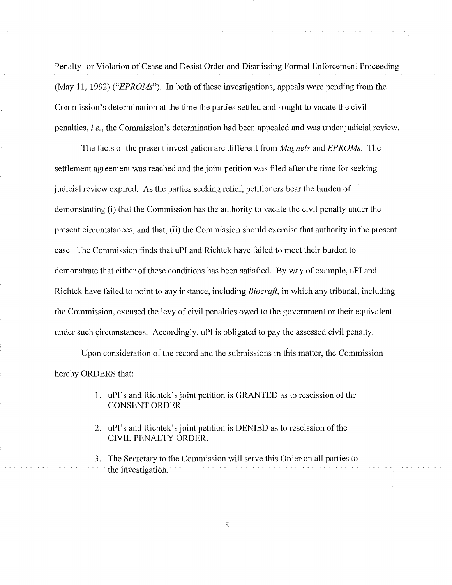Penalty for Violation of Cease and Desist Order and Dismissing Formal Enforcement Proceeding (May 11, 1992) *("EPROMs").* In both of these investigations, appeals were pending from the Commission's determination at the time the parties settled and sought to vacate the civil penalties, *i.e.,* the Commission's determination had been appealed and was under judicial review.

The facts of the present investigation are different from *Magnets* and *EPROMs.* The settlement agreement was reached and the joint petition was filed after the time for seeking judicial review expired. As the parties seeking relief, petitioners bear the burden of demonstrating (i) that the Commission has the authority to vacate the civil penalty under the present circumstances, and that, (ii) the Commission should exercise that authority in the present case. The Commission finds that uPI and Richtek have failed to meet their burden to demonstrate that either of these conditions has been satisfied. By way of example, uPI and Richtek have failed to point to any instance, including *Biocraft,* in which any tribunal, including the Commission, excused the levy of civil penalties owed to the government or their equivalent under such circumstances. Accordingly, uPI is obligated to pay the assessed civil penalty.

Upon consideration of the record and the submissions in this matter, the Commission hereby ORDERS that:

- 1. uPI's and Richtek's joint petition is GRANTED as to rescission of the CONSENT ORDER.
- 2. uPI's and Richtek's joint petition is DENIED as to rescission of the CIVIL PENALTY ORDER.
- 3. The Secretary to the Commission will serve this Order on all parties to the investigation.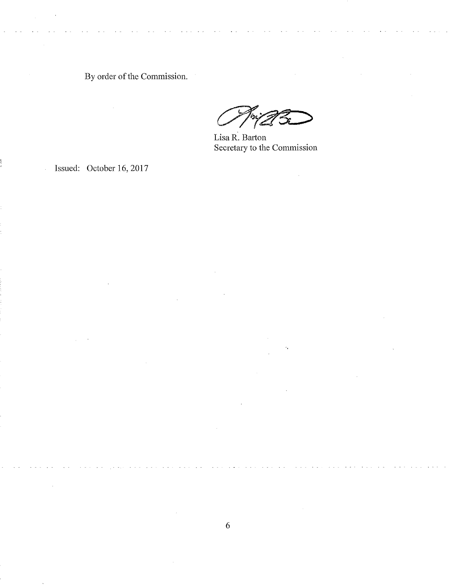By order of the Commission.

 $\hat{\mathcal{A}}$ 

Lisa R. Barton Secretary to the Commission

 $\bar{\gamma}$ 

 $\epsilon_{\rm r}$ 

Issued: October 16, 2017

 $\omega_{\rm c} \sim 2$ 

 $\hat{\mathcal{A}}$ 

 $\bar{z}$ 

 $\hat{\mathcal{A}}$ 

 $\bar{\gamma}$ 

 $\bar{\beta}$